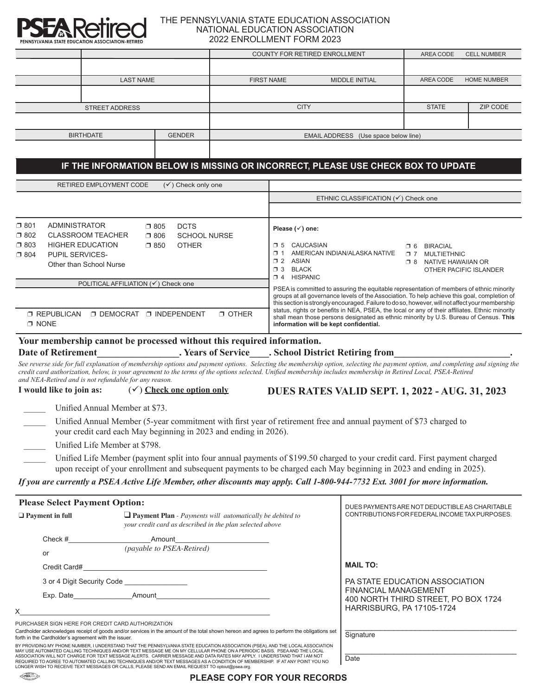

## THE PENNSYLVANIA STATE EDUCATION ASSOCIATION NATIONAL EDUCATION ASSOCIATION 2022 ENROLLMENT FORM 2023

| PENNSYLVANIA STATE EDUCATION ASSOCIATION-RETIRED                                                                                                                                                                                                                                                                                                                                                           |                                                                                                                             |                               |                                      | LIVINGLEIVILIVI I OINVIZUZU                                                                                                                                                                                                                                                                                                                                                                   |                                                                                                  |                                 |                 |  |
|------------------------------------------------------------------------------------------------------------------------------------------------------------------------------------------------------------------------------------------------------------------------------------------------------------------------------------------------------------------------------------------------------------|-----------------------------------------------------------------------------------------------------------------------------|-------------------------------|--------------------------------------|-----------------------------------------------------------------------------------------------------------------------------------------------------------------------------------------------------------------------------------------------------------------------------------------------------------------------------------------------------------------------------------------------|--------------------------------------------------------------------------------------------------|---------------------------------|-----------------|--|
|                                                                                                                                                                                                                                                                                                                                                                                                            |                                                                                                                             |                               |                                      | COUNTY FOR RETIRED ENROLLMENT<br>AREA CODE<br><b>CELL NUMBER</b>                                                                                                                                                                                                                                                                                                                              |                                                                                                  |                                 |                 |  |
|                                                                                                                                                                                                                                                                                                                                                                                                            | <b>LAST NAME</b>                                                                                                            |                               | <b>FIRST NAME</b><br>MIDDLE INITIAL  |                                                                                                                                                                                                                                                                                                                                                                                               |                                                                                                  | AREA CODE<br><b>HOME NUMBER</b> |                 |  |
|                                                                                                                                                                                                                                                                                                                                                                                                            |                                                                                                                             |                               |                                      |                                                                                                                                                                                                                                                                                                                                                                                               |                                                                                                  |                                 |                 |  |
| <b>STREET ADDRESS</b>                                                                                                                                                                                                                                                                                                                                                                                      |                                                                                                                             |                               | <b>CITY</b>                          |                                                                                                                                                                                                                                                                                                                                                                                               |                                                                                                  | <b>STATE</b>                    | <b>ZIP CODE</b> |  |
|                                                                                                                                                                                                                                                                                                                                                                                                            |                                                                                                                             |                               |                                      |                                                                                                                                                                                                                                                                                                                                                                                               |                                                                                                  |                                 |                 |  |
| <b>GENDER</b><br><b>BIRTHDATE</b>                                                                                                                                                                                                                                                                                                                                                                          |                                                                                                                             |                               | EMAIL ADDRESS (Use space below line) |                                                                                                                                                                                                                                                                                                                                                                                               |                                                                                                  |                                 |                 |  |
|                                                                                                                                                                                                                                                                                                                                                                                                            |                                                                                                                             |                               |                                      |                                                                                                                                                                                                                                                                                                                                                                                               |                                                                                                  |                                 |                 |  |
|                                                                                                                                                                                                                                                                                                                                                                                                            |                                                                                                                             |                               |                                      | IF THE INFORMATION BELOW IS MISSING OR INCORRECT, PLEASE USE CHECK BOX TO UPDATE                                                                                                                                                                                                                                                                                                              |                                                                                                  |                                 |                 |  |
|                                                                                                                                                                                                                                                                                                                                                                                                            | <b>RETIRED EMPLOYMENT CODE</b>                                                                                              | $(\checkmark)$ Check only one |                                      |                                                                                                                                                                                                                                                                                                                                                                                               |                                                                                                  |                                 |                 |  |
|                                                                                                                                                                                                                                                                                                                                                                                                            |                                                                                                                             |                               |                                      | ETHNIC CLASSIFICATION (√) Check one                                                                                                                                                                                                                                                                                                                                                           |                                                                                                  |                                 |                 |  |
|                                                                                                                                                                                                                                                                                                                                                                                                            |                                                                                                                             |                               |                                      |                                                                                                                                                                                                                                                                                                                                                                                               |                                                                                                  |                                 |                 |  |
| $\square$ 801<br><b>ADMINISTRATOR</b>                                                                                                                                                                                                                                                                                                                                                                      | $\square$ 805                                                                                                               | <b>DCTS</b>                   |                                      | Please $(\check{ }')$ one:                                                                                                                                                                                                                                                                                                                                                                    |                                                                                                  |                                 |                 |  |
| $\square$ 802<br><b>CLASSROOM TEACHER</b><br><b>SCHOOL NURSE</b><br>$\square$ 806                                                                                                                                                                                                                                                                                                                          |                                                                                                                             |                               |                                      | CAUCASIAN<br>$\Box$ 5<br><b>0 6 BIRACIAL</b><br>1 AMERICAN INDIAN/ALASKA NATIVE<br><b>D 7 MULTIETHNIC</b><br>12 ASIAN<br><b>1 8 NATIVE HAWAIIAN OR</b><br>13 BLACK<br>OTHER PACIFIC ISLANDER<br>D 4 HISPANIC                                                                                                                                                                                  |                                                                                                  |                                 |                 |  |
| $\square$ 803<br><b>HIGHER EDUCATION</b><br>$\square$ 850<br><b>OTHER</b><br>PUPIL SERVICES-<br>$\square$ 804                                                                                                                                                                                                                                                                                              |                                                                                                                             |                               |                                      |                                                                                                                                                                                                                                                                                                                                                                                               |                                                                                                  |                                 |                 |  |
| Other than School Nurse                                                                                                                                                                                                                                                                                                                                                                                    |                                                                                                                             |                               |                                      |                                                                                                                                                                                                                                                                                                                                                                                               |                                                                                                  |                                 |                 |  |
| POLITICAL AFFILIATION (√) Check one                                                                                                                                                                                                                                                                                                                                                                        |                                                                                                                             |                               |                                      |                                                                                                                                                                                                                                                                                                                                                                                               |                                                                                                  |                                 |                 |  |
|                                                                                                                                                                                                                                                                                                                                                                                                            |                                                                                                                             |                               |                                      | PSEA is committed to assuring the equitable representation of members of ethnic minority<br>groups at all governance levels of the Association. To help achieve this goal, completion of<br>this section is strongly encouraged. Failure to do so, however, will not affect your membership<br>status, rights or benefits in NEA, PSEA, the local or any of their affiliates. Ethnic minority |                                                                                                  |                                 |                 |  |
|                                                                                                                                                                                                                                                                                                                                                                                                            |                                                                                                                             |                               |                                      |                                                                                                                                                                                                                                                                                                                                                                                               |                                                                                                  |                                 |                 |  |
| <b>D DEMOCRAT D INDEPENDENT</b><br>$\Box$ OTHER<br><b>T REPUBLICAN</b><br>$\Box$ NONE                                                                                                                                                                                                                                                                                                                      |                                                                                                                             |                               |                                      | shall mean those persons designated as ethnic minority by U.S. Bureau of Census. This<br>information will be kept confidential.                                                                                                                                                                                                                                                               |                                                                                                  |                                 |                 |  |
| Your membership cannot be processed without this required information.                                                                                                                                                                                                                                                                                                                                     |                                                                                                                             |                               |                                      |                                                                                                                                                                                                                                                                                                                                                                                               |                                                                                                  |                                 |                 |  |
| <b>Date of Retirement</b>                                                                                                                                                                                                                                                                                                                                                                                  |                                                                                                                             |                               |                                      | . Years of Service . School District Retiring from                                                                                                                                                                                                                                                                                                                                            |                                                                                                  |                                 |                 |  |
| See reverse side for full explanation of membership options and payment options. Selecting the membership option, selecting the payment option, and completing and signing the<br>credit card authorization, below, is your agreement to the terms of the options selected. Unified membership includes membership in Retired Local, PSEA-Retired<br>and NEA-Retired and is not refundable for any reason. |                                                                                                                             |                               |                                      |                                                                                                                                                                                                                                                                                                                                                                                               |                                                                                                  |                                 |                 |  |
| I would like to join as:                                                                                                                                                                                                                                                                                                                                                                                   | $(\checkmark)$ Check one option only                                                                                        |                               |                                      | <b>DUES RATES VALID SEPT. 1, 2022 - AUG. 31, 2023</b>                                                                                                                                                                                                                                                                                                                                         |                                                                                                  |                                 |                 |  |
|                                                                                                                                                                                                                                                                                                                                                                                                            | Unified Annual Member at \$73.                                                                                              |                               |                                      |                                                                                                                                                                                                                                                                                                                                                                                               |                                                                                                  |                                 |                 |  |
|                                                                                                                                                                                                                                                                                                                                                                                                            | your credit card each May beginning in 2023 and ending in 2026).                                                            |                               |                                      | Unified Annual Member (5-year commitment with first year of retirement free and annual payment of \$73 charged to                                                                                                                                                                                                                                                                             |                                                                                                  |                                 |                 |  |
|                                                                                                                                                                                                                                                                                                                                                                                                            | Unified Life Member at \$798.                                                                                               |                               |                                      |                                                                                                                                                                                                                                                                                                                                                                                               |                                                                                                  |                                 |                 |  |
|                                                                                                                                                                                                                                                                                                                                                                                                            |                                                                                                                             |                               |                                      | Unified Life Member (payment split into four annual payments of \$199.50 charged to your credit card. First payment charged<br>upon receipt of your enrollment and subsequent payments to be charged each May beginning in 2023 and ending in 2025).                                                                                                                                          |                                                                                                  |                                 |                 |  |
| If you are currently a PSEA Active Life Member, other discounts may apply. Call 1-800-944-7732 Ext. 3001 for more information.                                                                                                                                                                                                                                                                             |                                                                                                                             |                               |                                      |                                                                                                                                                                                                                                                                                                                                                                                               |                                                                                                  |                                 |                 |  |
| <b>Please Select Payment Option:</b>                                                                                                                                                                                                                                                                                                                                                                       |                                                                                                                             |                               |                                      |                                                                                                                                                                                                                                                                                                                                                                                               |                                                                                                  |                                 |                 |  |
| $\Box$ Payment in full                                                                                                                                                                                                                                                                                                                                                                                     | $\Box$ Payment Plan - Payments will automatically be debited to<br>your credit card as described in the plan selected above |                               |                                      |                                                                                                                                                                                                                                                                                                                                                                                               | DUES PAYMENTS ARE NOT DEDUCTIBLE AS CHARITABLE<br>CONTRIBUTIONS FOR FEDERAL INCOME TAX PURPOSES. |                                 |                 |  |
| $Check \#$                                                                                                                                                                                                                                                                                                                                                                                                 |                                                                                                                             |                               |                                      |                                                                                                                                                                                                                                                                                                                                                                                               |                                                                                                  |                                 |                 |  |
| or                                                                                                                                                                                                                                                                                                                                                                                                         | (payable to PSEA-Retired)                                                                                                   |                               |                                      |                                                                                                                                                                                                                                                                                                                                                                                               |                                                                                                  |                                 |                 |  |
|                                                                                                                                                                                                                                                                                                                                                                                                            |                                                                                                                             |                               |                                      |                                                                                                                                                                                                                                                                                                                                                                                               | <b>MAIL TO:</b>                                                                                  |                                 |                 |  |
| 3 or 4 Digit Security Code _________________                                                                                                                                                                                                                                                                                                                                                               |                                                                                                                             |                               |                                      |                                                                                                                                                                                                                                                                                                                                                                                               | PA STATE EDUCATION ASSOCIATION                                                                   |                                 |                 |  |
|                                                                                                                                                                                                                                                                                                                                                                                                            |                                                                                                                             |                               |                                      |                                                                                                                                                                                                                                                                                                                                                                                               | <b>FINANCIAL MANAGEMENT</b><br>400 NORTH THIRD STREET, PO BOX 1724                               |                                 |                 |  |
| Χ                                                                                                                                                                                                                                                                                                                                                                                                          |                                                                                                                             |                               |                                      |                                                                                                                                                                                                                                                                                                                                                                                               | HARRISBURG, PA 17105-1724                                                                        |                                 |                 |  |
| PURCHASER SIGN HERE FOR CREDIT CARD AUTHORIZATION                                                                                                                                                                                                                                                                                                                                                          |                                                                                                                             |                               |                                      |                                                                                                                                                                                                                                                                                                                                                                                               |                                                                                                  |                                 |                 |  |
| Cardholder acknowledges receipt of goods and/or services in the amount of the total shown hereon and agrees to perform the obligations set<br>forth in the Cardholder's agreement with the issuer.                                                                                                                                                                                                         |                                                                                                                             | Signature                     |                                      |                                                                                                                                                                                                                                                                                                                                                                                               |                                                                                                  |                                 |                 |  |
| BY PROVIDING MY PHONE NUMBER, I UNDERSTAND THAT THE PENNSYLVANIA STATE EDUCATION ASSOCIATION (PSEA), AND THE LOCAL ASSOCIATION<br>MAY USE AUTOMATED CALLING TECHNIQUES AND/OR TEXT MESSAGE ME ON MY CELLULAR PHONE ON A PERIODIC BASIS. PSEA AND THE LOCAL                                                                                                                                                 |                                                                                                                             |                               |                                      |                                                                                                                                                                                                                                                                                                                                                                                               |                                                                                                  |                                 |                 |  |

BY PROVIDING MY PHONE NUMBER, I UNDERSTAND THAT THE PENNSYLVANIA STATE EDUCATION ASSOCIATION (PSEA), AND THE LOCAL ASSOCIATION<br>MAY USE AUTOMATED CALLING TECHNIQUES AND/OR TEXT MESSAGE ME ON MY CELLULAR PHONE ON A PERIODIC ASSOCIATION WILL NOT CHARGE FOR TEXT MESSAGE ALERTS. CARRIER MESSAGE AND DATA RATES MAY APPLY. I UNDERSTAND THAT I AM NOT<br>REQUIRED TO AGREE TO AUTOMATED CALLING TECHNIQUES AND/OR TEXT MESSAGES AS A CONDITION OF MEMBERSHIP

Date